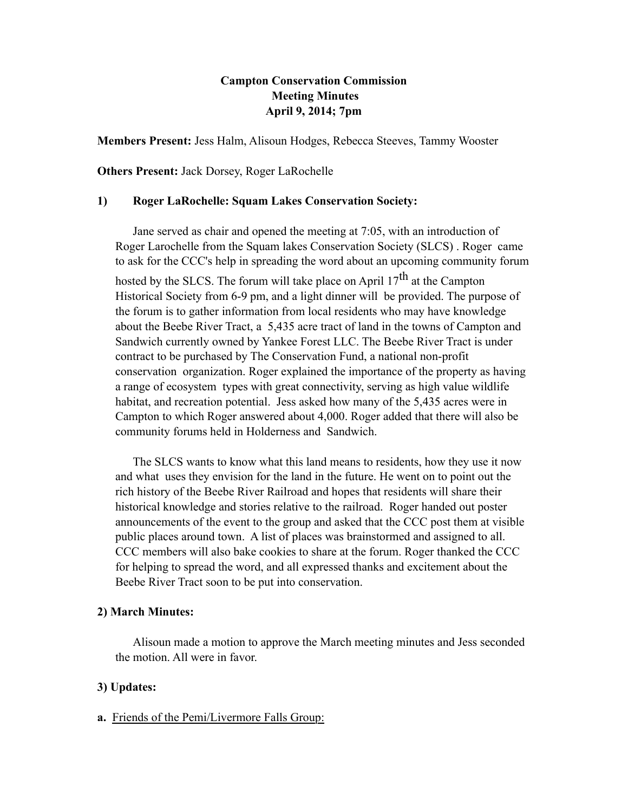## **Campton Conservation Commission Meeting Minutes April 9, 2014; 7pm**

**Members Present:** Jess Halm, Alisoun Hodges, Rebecca Steeves, Tammy Wooster

**Others Present:** Jack Dorsey, Roger LaRochelle

### **1) Roger LaRochelle: Squam Lakes Conservation Society:**

Jane served as chair and opened the meeting at 7:05, with an introduction of Roger Larochelle from the Squam lakes Conservation Society (SLCS) . Roger came to ask for the CCC's help in spreading the word about an upcoming community forum hosted by the SLCS. The forum will take place on April  $17<sup>th</sup>$  at the Campton Historical Society from 6-9 pm, and a light dinner will be provided. The purpose of the forum is to gather information from local residents who may have knowledge about the Beebe River Tract, a 5,435 acre tract of land in the towns of Campton and Sandwich currently owned by Yankee Forest LLC. The Beebe River Tract is under contract to be purchased by The Conservation Fund, a national non-profit conservation organization. Roger explained the importance of the property as having a range of ecosystem types with great connectivity, serving as high value wildlife habitat, and recreation potential. Jess asked how many of the 5,435 acres were in Campton to which Roger answered about 4,000. Roger added that there will also be community forums held in Holderness and Sandwich.

The SLCS wants to know what this land means to residents, how they use it now and what uses they envision for the land in the future. He went on to point out the rich history of the Beebe River Railroad and hopes that residents will share their historical knowledge and stories relative to the railroad. Roger handed out poster announcements of the event to the group and asked that the CCC post them at visible public places around town. A list of places was brainstormed and assigned to all. CCC members will also bake cookies to share at the forum. Roger thanked the CCC for helping to spread the word, and all expressed thanks and excitement about the Beebe River Tract soon to be put into conservation.

## **2) March Minutes:**

Alisoun made a motion to approve the March meeting minutes and Jess seconded the motion. All were in favor.

## **3) Updates:**

## **a.** Friends of the Pemi/Livermore Falls Group: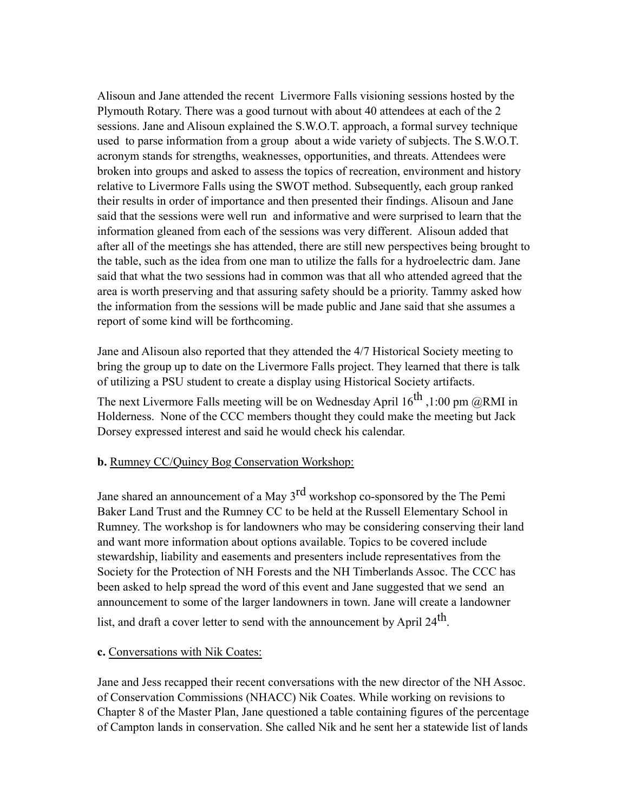Alisoun and Jane attended the recent Livermore Falls visioning sessions hosted by the Plymouth Rotary. There was a good turnout with about 40 attendees at each of the 2 sessions. Jane and Alisoun explained the S.W.O.T. approach, a formal survey technique used to parse information from a group about a wide variety of subjects. The S.W.O.T. acronym stands for strengths, weaknesses, opportunities, and threats. Attendees were broken into groups and asked to assess the topics of recreation, environment and history relative to Livermore Falls using the SWOT method. Subsequently, each group ranked their results in order of importance and then presented their findings. Alisoun and Jane said that the sessions were well run and informative and were surprised to learn that the information gleaned from each of the sessions was very different. Alisoun added that after all of the meetings she has attended, there are still new perspectives being brought to the table, such as the idea from one man to utilize the falls for a hydroelectric dam. Jane said that what the two sessions had in common was that all who attended agreed that the area is worth preserving and that assuring safety should be a priority. Tammy asked how the information from the sessions will be made public and Jane said that she assumes a report of some kind will be forthcoming.

Jane and Alisoun also reported that they attended the 4/7 Historical Society meeting to bring the group up to date on the Livermore Falls project. They learned that there is talk of utilizing a PSU student to create a display using Historical Society artifacts.

The next Livermore Falls meeting will be on Wednesday April  $16^{th}$ , 1:00 pm  $@RMI$  in Holderness. None of the CCC members thought they could make the meeting but Jack Dorsey expressed interest and said he would check his calendar.

#### **b.** Rumney CC/Quincy Bog Conservation Workshop:

Jane shared an announcement of a May 3<sup>rd</sup> workshop co-sponsored by the The Pemi Baker Land Trust and the Rumney CC to be held at the Russell Elementary School in Rumney. The workshop is for landowners who may be considering conserving their land and want more information about options available. Topics to be covered include stewardship, liability and easements and presenters include representatives from the Society for the Protection of NH Forests and the NH Timberlands Assoc. The CCC has been asked to help spread the word of this event and Jane suggested that we send an announcement to some of the larger landowners in town. Jane will create a landowner list, and draft a cover letter to send with the announcement by April 24th.

#### **c.** Conversations with Nik Coates:

Jane and Jess recapped their recent conversations with the new director of the NH Assoc. of Conservation Commissions (NHACC) Nik Coates. While working on revisions to Chapter 8 of the Master Plan, Jane questioned a table containing figures of the percentage of Campton lands in conservation. She called Nik and he sent her a statewide list of lands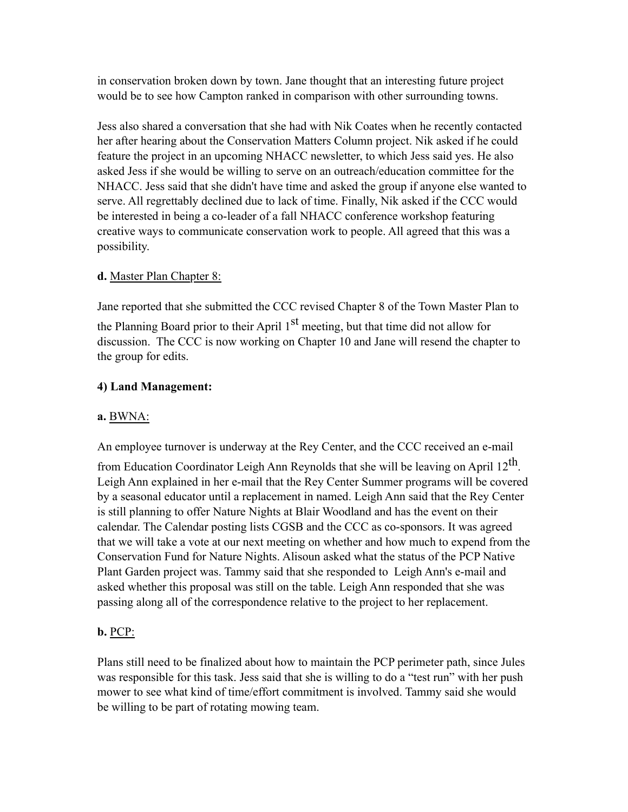in conservation broken down by town. Jane thought that an interesting future project would be to see how Campton ranked in comparison with other surrounding towns.

Jess also shared a conversation that she had with Nik Coates when he recently contacted her after hearing about the Conservation Matters Column project. Nik asked if he could feature the project in an upcoming NHACC newsletter, to which Jess said yes. He also asked Jess if she would be willing to serve on an outreach/education committee for the NHACC. Jess said that she didn't have time and asked the group if anyone else wanted to serve. All regrettably declined due to lack of time. Finally, Nik asked if the CCC would be interested in being a co-leader of a fall NHACC conference workshop featuring creative ways to communicate conservation work to people. All agreed that this was a possibility.

# **d.** Master Plan Chapter 8:

Jane reported that she submitted the CCC revised Chapter 8 of the Town Master Plan to the Planning Board prior to their April  $1<sup>st</sup>$  meeting, but that time did not allow for discussion. The CCC is now working on Chapter 10 and Jane will resend the chapter to the group for edits.

# **4) Land Management:**

## **a.** BWNA:

An employee turnover is underway at the Rey Center, and the CCC received an e-mail

from Education Coordinator Leigh Ann Reynolds that she will be leaving on April  $12<sup>th</sup>$ . Leigh Ann explained in her e-mail that the Rey Center Summer programs will be covered by a seasonal educator until a replacement in named. Leigh Ann said that the Rey Center is still planning to offer Nature Nights at Blair Woodland and has the event on their calendar. The Calendar posting lists CGSB and the CCC as co-sponsors. It was agreed that we will take a vote at our next meeting on whether and how much to expend from the Conservation Fund for Nature Nights. Alisoun asked what the status of the PCP Native Plant Garden project was. Tammy said that she responded to Leigh Ann's e-mail and asked whether this proposal was still on the table. Leigh Ann responded that she was passing along all of the correspondence relative to the project to her replacement.

# **b.** PCP:

Plans still need to be finalized about how to maintain the PCP perimeter path, since Jules was responsible for this task. Jess said that she is willing to do a "test run" with her push mower to see what kind of time/effort commitment is involved. Tammy said she would be willing to be part of rotating mowing team.